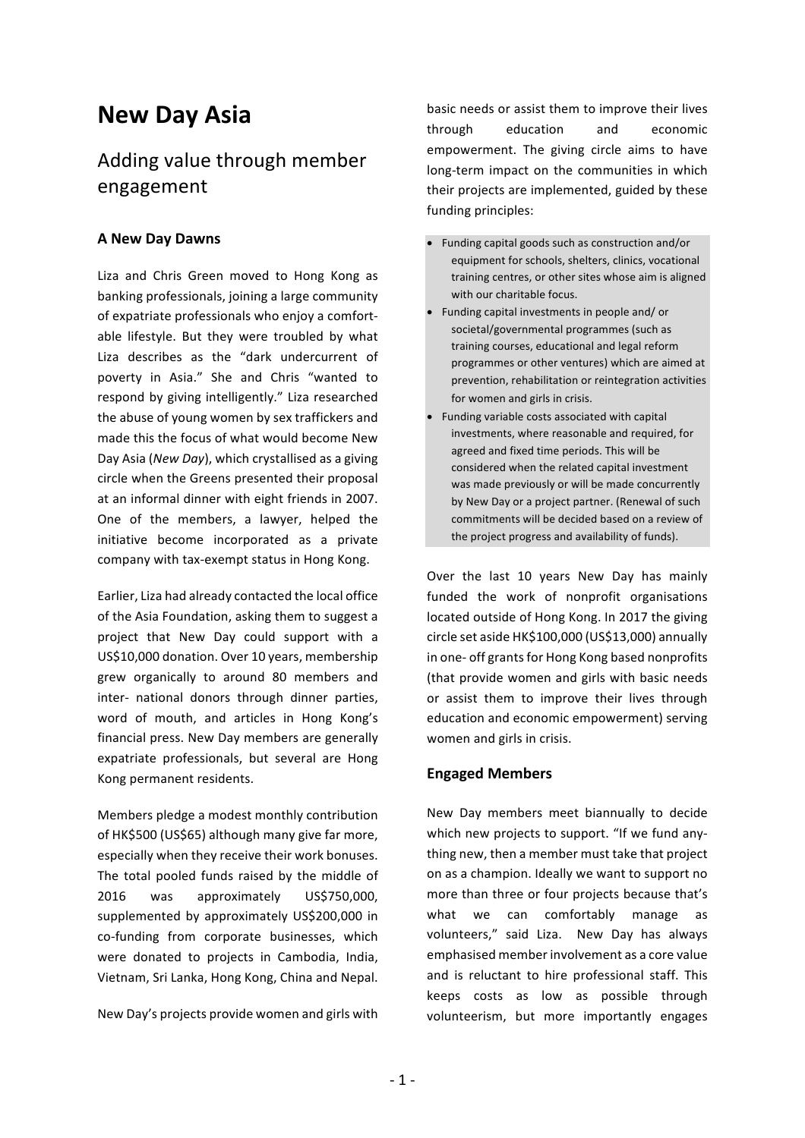# **New Day Asia**

# Adding value through member engagement

# **A New Day Dawns**

Liza and Chris Green moved to Hong Kong as banking professionals, joining a large community of expatriate professionals who enjoy a comfortable lifestyle. But they were troubled by what Liza describes as the "dark undercurrent of poverty in Asia." She and Chris "wanted to respond by giving intelligently." Liza researched the abuse of young women by sex traffickers and made this the focus of what would become New Day Asia (*New Day*), which crystallised as a giving circle when the Greens presented their proposal at an informal dinner with eight friends in 2007. One of the members, a lawyer, helped the initiative become incorporated as a private company with tax-exempt status in Hong Kong.

Earlier, Liza had already contacted the local office of the Asia Foundation, asking them to suggest a project that New Day could support with a US\$10,000 donation. Over 10 years, membership grew organically to around 80 members and inter- national donors through dinner parties, word of mouth, and articles in Hong Kong's financial press. New Day members are generally expatriate professionals, but several are Hong Kong permanent residents.

Members pledge a modest monthly contribution of HK\$500 (US\$65) although many give far more, especially when they receive their work bonuses. The total pooled funds raised by the middle of 2016 was approximately US\$750,000, supplemented by approximately US\$200,000 in co-funding from corporate businesses, which were donated to projects in Cambodia, India, Vietnam, Sri Lanka, Hong Kong, China and Nepal.

New Day's projects provide women and girls with

basic needs or assist them to improve their lives through education and economic empowerment. The giving circle aims to have long-term impact on the communities in which their projects are implemented, guided by these funding principles:

- Funding capital goods such as construction and/or equipment for schools, shelters, clinics, vocational training centres, or other sites whose aim is aligned with our charitable focus.
- Funding capital investments in people and/ or societal/governmental programmes (such as training courses, educational and legal reform programmes or other ventures) which are aimed at prevention, rehabilitation or reintegration activities for women and girls in crisis.
- Funding variable costs associated with capital investments, where reasonable and required, for agreed and fixed time periods. This will be considered when the related capital investment was made previously or will be made concurrently by New Day or a project partner. (Renewal of such commitments will be decided based on a review of the project progress and availability of funds).

Over the last 10 years New Day has mainly funded the work of nonprofit organisations located outside of Hong Kong. In 2017 the giving circle set aside HK\$100,000 (US\$13,000) annually in one- off grants for Hong Kong based nonprofits (that provide women and girls with basic needs or assist them to improve their lives through education and economic empowerment) serving women and girls in crisis.

## **Engaged Members**

New Day members meet biannually to decide which new projects to support. "If we fund anything new, then a member must take that project on as a champion. Ideally we want to support no more than three or four projects because that's what we can comfortably manage as volunteers," said Liza. New Day has always emphasised member involvement as a core value and is reluctant to hire professional staff. This keeps costs as low as possible through volunteerism, but more importantly engages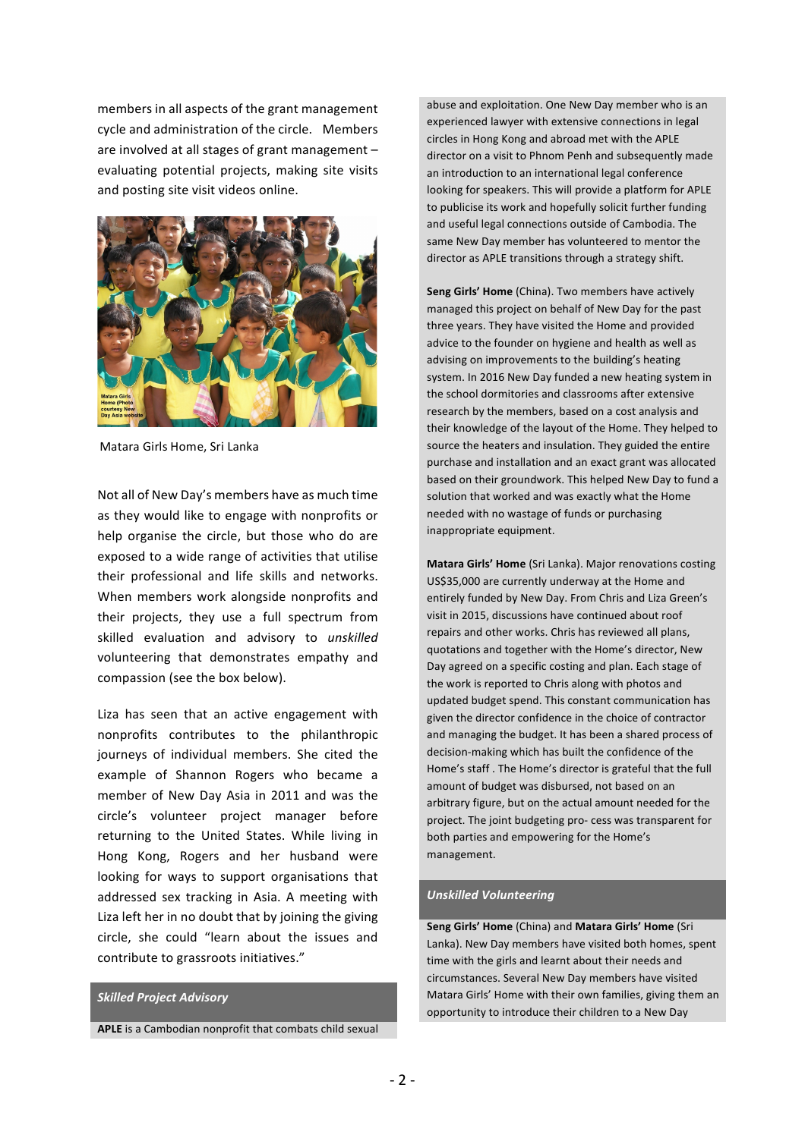members in all aspects of the grant management cycle and administration of the circle. Members are involved at all stages of grant management  $$ evaluating potential projects, making site visits and posting site visit videos online.



Matara Girls Home, Sri Lanka

Not all of New Day's members have as much time as they would like to engage with nonprofits or help organise the circle, but those who do are exposed to a wide range of activities that utilise their professional and life skills and networks. When members work alongside nonprofits and their projects, they use a full spectrum from skilled evaluation and advisory to *unskilled* volunteering that demonstrates empathy and compassion (see the box below).

Liza has seen that an active engagement with nonprofits contributes to the philanthropic journeys of individual members. She cited the example of Shannon Rogers who became a member of New Day Asia in 2011 and was the circle's volunteer project manager before returning to the United States. While living in Hong Kong, Rogers and her husband were looking for ways to support organisations that addressed sex tracking in Asia. A meeting with Liza left her in no doubt that by joining the giving circle, she could "learn about the issues and contribute to grassroots initiatives."

#### *Skilled Project Advisory*

**APLE** is a Cambodian nonprofit that combats child sexual

abuse and exploitation. One New Day member who is an experienced lawyer with extensive connections in legal circles in Hong Kong and abroad met with the APLE director on a visit to Phnom Penh and subsequently made an introduction to an international legal conference looking for speakers. This will provide a platform for APLE to publicise its work and hopefully solicit further funding and useful legal connections outside of Cambodia. The same New Day member has volunteered to mentor the director as APLE transitions through a strategy shift.

**Seng Girls' Home** (China). Two members have actively managed this project on behalf of New Day for the past three years. They have visited the Home and provided advice to the founder on hygiene and health as well as advising on improvements to the building's heating system. In 2016 New Day funded a new heating system in the school dormitories and classrooms after extensive research by the members, based on a cost analysis and their knowledge of the layout of the Home. They helped to source the heaters and insulation. They guided the entire purchase and installation and an exact grant was allocated based on their groundwork. This helped New Day to fund a solution that worked and was exactly what the Home needed with no wastage of funds or purchasing inappropriate equipment.

**Matara Girls' Home** (Sri Lanka). Major renovations costing US\$35,000 are currently underway at the Home and entirely funded by New Day. From Chris and Liza Green's visit in 2015, discussions have continued about roof repairs and other works. Chris has reviewed all plans, quotations and together with the Home's director, New Day agreed on a specific costing and plan. Each stage of the work is reported to Chris along with photos and updated budget spend. This constant communication has given the director confidence in the choice of contractor and managing the budget. It has been a shared process of decision-making which has built the confidence of the Home's staff. The Home's director is grateful that the full amount of budget was disbursed, not based on an arbitrary figure, but on the actual amount needed for the project. The joint budgeting pro- cess was transparent for both parties and empowering for the Home's management. 

#### *Unskilled Volunteering*

**Seng Girls' Home** (China) and Matara Girls' Home (Sri Lanka). New Day members have visited both homes, spent time with the girls and learnt about their needs and circumstances. Several New Day members have visited Matara Girls' Home with their own families, giving them an opportunity to introduce their children to a New Day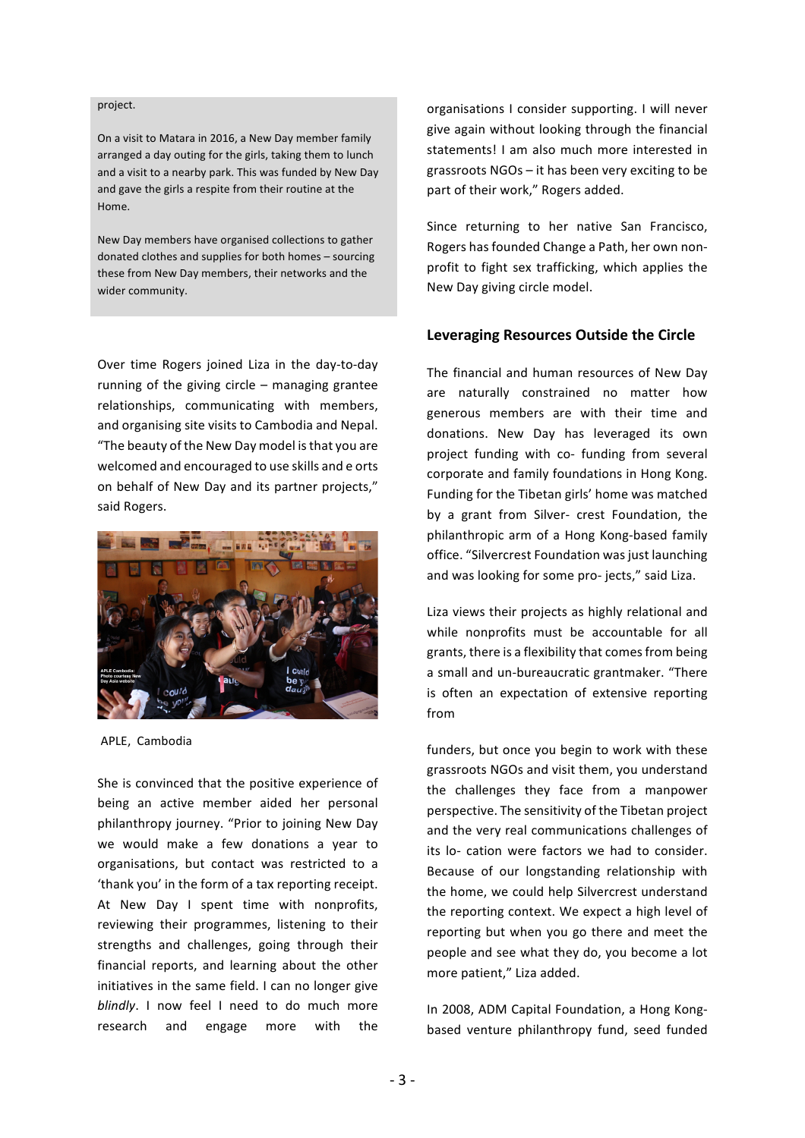#### project.

On a visit to Matara in 2016, a New Day member family arranged a day outing for the girls, taking them to lunch and a visit to a nearby park. This was funded by New Day and gave the girls a respite from their routine at the Home. 

New Day members have organised collections to gather donated clothes and supplies for both homes - sourcing these from New Day members, their networks and the wider community.

Over time Rogers joined Liza in the day-to-day running of the giving circle  $-$  managing grantee relationships, communicating with members, and organising site visits to Cambodia and Nepal. "The beauty of the New Day model is that you are welcomed and encouraged to use skills and e orts on behalf of New Day and its partner projects," said Rogers.



APLE, Cambodia

She is convinced that the positive experience of being an active member aided her personal philanthropy journey. "Prior to joining New Day we would make a few donations a year to organisations, but contact was restricted to a 'thank you' in the form of a tax reporting receipt. At New Day I spent time with nonprofits, reviewing their programmes, listening to their strengths and challenges, going through their financial reports, and learning about the other initiatives in the same field. I can no longer give *blindly*. I now feel I need to do much more research and engage more with the organisations I consider supporting. I will never give again without looking through the financial statements! I am also much more interested in grassroots  $NGOs - it$  has been very exciting to be part of their work," Rogers added.

Since returning to her native San Francisco, Rogers has founded Change a Path, her own nonprofit to fight sex trafficking, which applies the New Day giving circle model.

#### Leveraging Resources Outside the Circle

The financial and human resources of New Day are naturally constrained no matter how generous members are with their time and donations. New Day has leveraged its own project funding with co- funding from several corporate and family foundations in Hong Kong. Funding for the Tibetan girls' home was matched by a grant from Silver- crest Foundation, the philanthropic arm of a Hong Kong-based family office. "Silvercrest Foundation was just launching and was looking for some pro- jects," said Liza.

Liza views their projects as highly relational and while nonprofits must be accountable for all grants, there is a flexibility that comes from being a small and un-bureaucratic grantmaker. "There is often an expectation of extensive reporting from 

funders, but once you begin to work with these grassroots NGOs and visit them, you understand the challenges they face from a manpower perspective. The sensitivity of the Tibetan project and the very real communications challenges of its lo- cation were factors we had to consider. Because of our longstanding relationship with the home, we could help Silvercrest understand the reporting context. We expect a high level of reporting but when you go there and meet the people and see what they do, you become a lot more patient," Liza added.

In 2008, ADM Capital Foundation, a Hong Kongbased venture philanthropy fund, seed funded